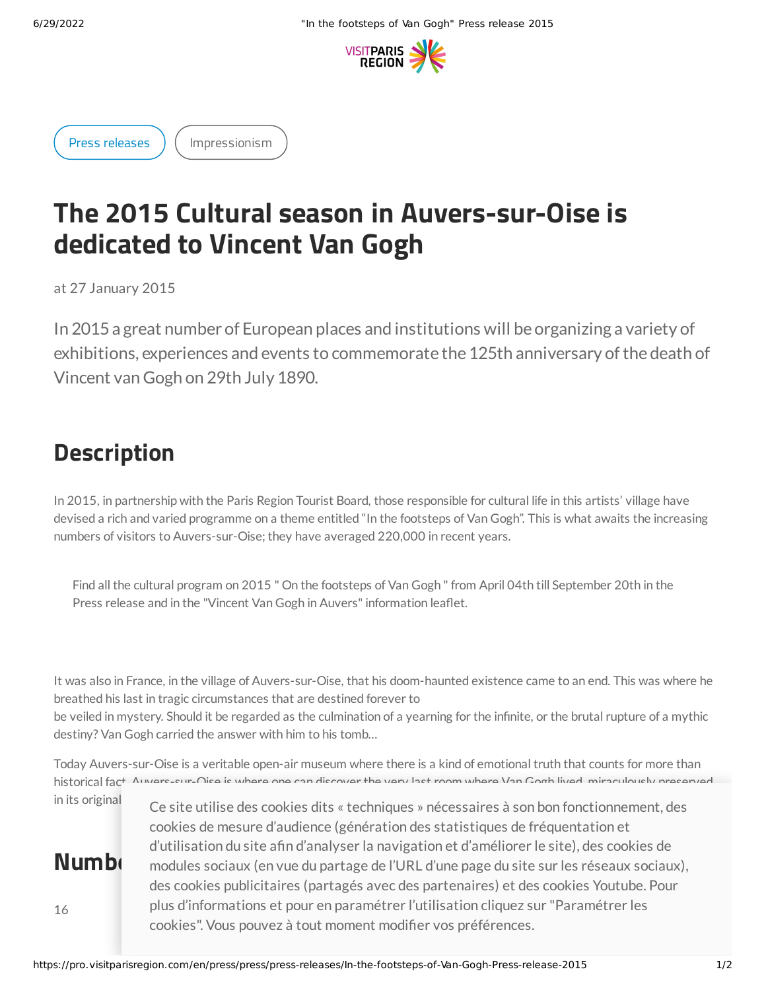

Press [releases](https://pro.visitparisregion.com/en/press/press/press-releases?resource_types[]=2131) ) ([Impressionism](https://pro.visitparisregion.com/en/press/press/press-releases?resource_topics[]=1538)

## **The 2015 Cultural season in Auvers-sur-Oise is dedicated to Vincent Van Gogh**

at 27 January 2015

In 2015a great number of European places and institutions will be organizing a variety of exhibitions, experiences and events to commemorate the 125th anniversary of the death of Vincent van Gogh on 29th July 1890.

## **Description**

In 2015, in partnership with the Paris Region Tourist Board, those responsible for cultural life in this artists' village have devised a rich and varied programme on a theme entitled "In the footsteps of Van Gogh". This is what awaits the increasing numbers of visitors to Auvers-sur-Oise; they have averaged 220,000 in recent years.

Find all the cultural program on 2015 " On the footsteps of Van Gogh " from April 04th till September 20th in the Press release and in the "Vincent Van Gogh in Auvers" information leaflet.

It was also in France, in the village of Auvers-sur-Oise, that his doom-haunted existence came to an end. This was where he breathed his last in tragic circumstances that are destined forever to be veiled in mystery. Should it be regarded as the culmination of a yearning for the infinite, or the brutal rupture of a mythic destiny? Van Gogh carried the answer with him to his tomb…

Today Auvers-sur-Oise is a veritable open-air museum where there is a kind of emotional truth that counts for more than historical fact. Auvers-sur-Oise is where one can discover the very last room where Van Gogh lived, miraculously preserved

16

in its original ce site utilise des cookies dits « techniques » nécessaires à son bon fonctionnement, des  $N$ **umb**i modules sociaux (en vue du partage de l'URL d'une page du site sur les réseaux sociaux), cookies de mesure d'audience (génération des statistiques de fréquentation et d'utilisation du site afin d'analyser la navigation et d'améliorer le site), des cookies de des cookies publicitaires (partagés avec des partenaires) et des cookies Youtube. Pour plus d'informations et pour en paramétrer l'utilisation cliquez sur "Paramétrer les cookies". Vous pouvez à tout moment modifier vos préférences.